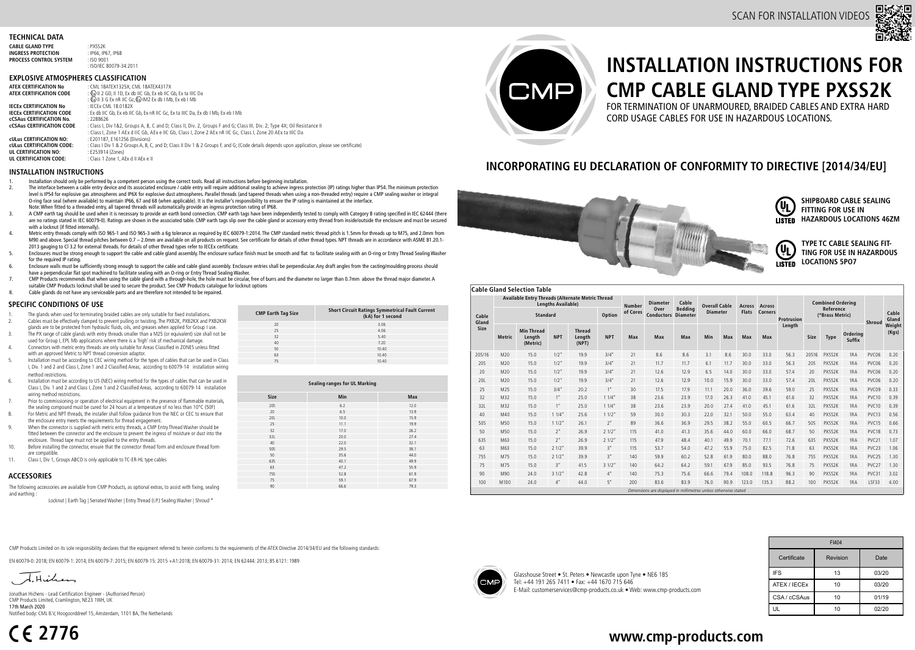### **TECHNICAL DATA**

| : PXSS2K                |
|-------------------------|
| : IP66, IP67, IP68      |
| $:$ ISO 9001            |
| : ISO/IEC 80079-34:2011 |
|                         |

### **EXPLOSIVE ATMOSPHERES CLASSIFICATION**

| <b>ATEX CERTIFICATION No</b>     | : CML 18ATEX1325X. CML 18ATEX4317X                                                                                                             |
|----------------------------------|------------------------------------------------------------------------------------------------------------------------------------------------|
| ATEX CERTIFICATION CODE          | : $\sqrt[4]{52}$ II 2 GD. II 1D. Ex db IIC Gb. Ex eb IIC Gb. Ex ta IIIC Da                                                                     |
|                                  | : $\sqrt[4]{5x}$ II 3 G Ex nR IIC Gc. $\sqrt[6]{5x}$ IM2 Ex db I Mb. Ex eb I Mb                                                                |
| <b>IECEX CERTIFICATION No</b>    | : IFCFx CMI 18.0182X                                                                                                                           |
| <b>IECEX CERTIFICATION CODE</b>  | : Ex db IIC Gb, Ex eb IIC Gb, Ex nR IIC Gc, Ex ta IIIC Da, Ex db I Mb, Ex eb I Mb                                                              |
| <b>CCSAUS CERTIFICATION No.</b>  | : 2288626                                                                                                                                      |
| <b>CCSAUS CERTIFICATION CODE</b> | : Class I, Div 1&2, Groups A, B, C and D; Class II, Div. 2, Groups F and G; Class III, Div. 2; Type 4X; Oil Resistance II                      |
|                                  | : Class I. Zone 1 AEx d IIC Gb. AEx e IIC Gb. Class I. Zone 2 AEx nR IIC Gc. Class I. Zone 20 AEx ta IIIC Da                                   |
| <b>CULUS CERTIFICATION NO:</b>   | : E201187, E161256 (Divisions)                                                                                                                 |
| <b>cULus CERTIFICATION CODE:</b> | : Class   Div 1 & 2 Groups A, B, C, and D; Class II Div 1 & 2 Groups F, and G; (Code details depends upon application, please see certificate) |
| UL CERTIFICATION NO:             | : E253914 (Zones)                                                                                                                              |
| UL CERTIFICATION CODE:           | : Class 1 Zone 1. AEx d II AEx e II                                                                                                            |
|                                  |                                                                                                                                                |

### **INSTALLATION INSTRUCTIONS**

- 1. Installation should only be performed by a competent person using the correct tools. Read all instructions before beginning installation.
- The interface between a cable entry device and its associated enclosure / cable entry will require additional sealing to achieve ingress protection (IP) ratings higher than IP54. The minimum protection level is IP54 for explosive gas atmospheres and IP6X for explosive dust atmospheres. Parallel threads (and tapered threads when using a non-threaded entry) require a CMP sealing washer or integral O-ring face seal (where available) to maintain IP66, 67 and 68 (when applicable). It is the installer's responsibility to ensure the IP rating is maintained at the interface. Note: When fitted to a threaded entry, all tapered threads will automatically provide an ingress protection rating of IP68.
- 3. A CMP earth tag should be used when it is necessary to provide an earth bond connection. CMP earth tags have been independently tested to comply with Category B rating specified in IEC 62444 (there are no ratings stated in IEC 60079-0). Ratings are shown in the associated table. CMP earth tags slip over the cable gland or accessory entry thread from inside/outside the enclosure and must be secured with a locknut (if fitted internally).
- 4. Metric entry threads comply with ISO 965-1 and ISO 965-3 with a 6g tolerance as required by IEC 60079-1:2014. The CMP standard metric thread pitch is 1.5mm for threads up to M75, and 2.0mm from M90 and above. Special thread pitches between 0.7 – 2.0mm are available on all products on request. See certificate for details of other thread types. NPT threads are in accordance with ASME B1.20.1- 2013 gauging to Cl 3.2 for external threads. For details of other thread types refer to IECEx certificate.
- 5. Enclosures must be strong enough to support the cable and cable gland assembly. The enclosure surface finish must be smooth and flat to facilitate sealing with an O-ring or Entry Thread Sealing Washer for the required IP rating.
- 6. Enclosure walls must be sufficiently strong enough to support the cable and cable gland assembly. Enclosure entries shall be perpendicular. Any draft angles from the casting/moulding process should have a perpendicular flat spot machined to facilitate sealing with an O-ring or Entry Thread Sealing Washer.
- 7. CMP Products recommends that when using the cable gland with a through-hole, the hole must be circular, free of burrs and the diameter no larger than 0.7mm above the thread major diameter. A suitable CMP Products locknut shall be used to secure the product. See CMP Products catalogue for locknut options
- 8. Cable glands do not have any serviceable parts and are therefore not intended to be repaired.

### **SPECIFIC CONDITIONS OF USE**

- 1. The glands when used for terminating braided cables are only suitable for fixed installations.
- 2. Cables must be effectively clamped to prevent pulling or twisting. The PXB2K, PXB2KX and PXB2KW glands are to be protected from hydraulic fluids, oils, and greases when applied for Group I use.
- 3. The PX range of cable glands with entry threads smaller than a M25 (or equivalent) size shall not be used for Group I, EPL Mb applications where there is a 'high' risk of mechanical damage.
- 4. Connectors with metric entry threads are only suitable for Areas Classified in ZONES unless fitted with an approved Metric to NPT thread conversion adaptor.
- 5. Installation must be according to CEC wiring method for the types of cables that can be used in Class I, Div. 1 and 2 and Class I, Zone 1 and 2 Classified Areas, according to 60079-14 installation wiring method restrictions.
- 6. Installation must be according to US (NEC) wiring method for the types of cables that can be used in Class I, Div. 1 and 2 and Class I, Zone 1 and 2 Classified Areas, according to 60079-14 installation wiring method restrictions.
- Prior to commissioning or operation of electrical equipment in the presence of flammable materials the sealing compound must be cured for 24 hours at a temperature of no less than 10°C (50F)
- 8. For Metric and NPT threads, the installer shall follow guidance from the NEC or CEC to ensure that the enclosure entry meets the requirements for thread engagement.
- 9. When the connector is supplied with metric entry threads, a CMP Entry Thread Washer should be fitted between the connector and the enclosure to prevent the ingress of moisture or dust into the enclosure. Thread tape must not be applied to the entry threads.
- 10. Before installing the connector, ensure that the connector thread form and enclosure thread form are compatible.
- 11. Class I, Div 1, Groups ABCD is only applicable to TC-ER-HL type cables

### **ACCESSORIES**

The following accessories are available from CMP Products, as optional extras, to assist with fixing, sealing and earthing :

Locknut | Earth Tag | Serrated Washer | Entry Thread (I.P.) Sealing Washer | Shroud \*

**CMP Earth Tag Size Short Circuit Ratings Symmetrical Fault Current (kA) for 1 second** 20 3.06 25 4.06 32 5.40 40 7.20 50 10.40 63 10.40 75 10.40

| Sealing ranges for UL Marking |      |      |  |  |  |  |  |
|-------------------------------|------|------|--|--|--|--|--|
| Size                          | Min  | Max  |  |  |  |  |  |
| <b>20S</b>                    | 6.2  | 12.0 |  |  |  |  |  |
| 20                            | 6.5  | 13.9 |  |  |  |  |  |
| <b>20L</b>                    | 10.0 | 15.9 |  |  |  |  |  |
| 25                            | 11.1 | 19.9 |  |  |  |  |  |
| 32                            | 17.0 | 26.2 |  |  |  |  |  |
| 32L                           | 20.0 | 27.4 |  |  |  |  |  |
| 40                            | 22.0 | 32.1 |  |  |  |  |  |
| <b>50S</b>                    | 29.5 | 38.1 |  |  |  |  |  |
| 50                            | 35.6 | 44.0 |  |  |  |  |  |
| 635                           | 40.1 | 49.9 |  |  |  |  |  |
| 63                            | 47.2 | 55.9 |  |  |  |  |  |
| <b>75S</b>                    | 52.8 | 61.9 |  |  |  |  |  |
| 75                            | 59.1 | 67.9 |  |  |  |  |  |
| 90                            | 66.6 | 79.3 |  |  |  |  |  |
|                               |      |      |  |  |  |  |  |



# **INSTALLATION INSTRUCTIONS FOR CMP CABLE GLAND TYPE PXSS2K**

FOR TERMINATION OF UNARMOURED, BRAIDED CABLES AND EXTRA HARD CORD USAGE CABLES FOR USE IN HAZARDOUS LOCATIONS.

## **INCORPORATING EU DECLARATION OF CONFORMITY TO DIRECTIVE [2014/34/EU]**



## **Cable Gland Selection Table**

|                                                                 | Available Entry Threads (Alternate Metric Thread<br><b>Lenaths Available)</b> |                                         |                     |                                  |                     |                           | <b>Diameter</b><br><b>Number</b>  | Cable           | <b>Overall Cable</b> |              | <b>Across</b>  | Across     |        | <b>Combined Ordering</b>     |        |                    |                   |                 |
|-----------------------------------------------------------------|-------------------------------------------------------------------------------|-----------------------------------------|---------------------|----------------------------------|---------------------|---------------------------|-----------------------------------|-----------------|----------------------|--------------|----------------|------------|--------|------------------------------|--------|--------------------|-------------------|-----------------|
| Cable<br>Gland                                                  | Option<br>Standard                                                            |                                         |                     |                                  | of Cores            | Over<br><b>Conductors</b> | <b>Beddina</b><br><b>Diameter</b> | <b>Diameter</b> |                      | <b>Flats</b> | <b>Corners</b> | Protrusion |        | Reference<br>(*Brass Metric) |        | Shroud             | Cable<br>Gland    |                 |
| Size                                                            | <b>Metric</b>                                                                 | <b>Min Thread</b><br>Length<br>(Metric) | <b>NPT</b>          | <b>Thread</b><br>Length<br>(NPT) | <b>NPT</b>          | Max                       | Max                               | Max             | Min                  | Max          | Max            | Max        | Length | Size                         | Type   | Orderina<br>Suffix |                   | Weight<br>(Kgs) |
| 205/16                                                          | M20                                                                           | 15.0                                    | 1/2''               | 19.9                             | 3/4''               | 21                        | 8.6                               | 8.6             | 3.1                  | 8.6          | 30.0           | 33.0       | 56.3   | 20S16                        | PXSS2K | 1RA                | PVC06             | 0.20            |
| <b>20S</b>                                                      | M20                                                                           | 15.0                                    | 1/2''               | 19.9                             | 3/4''               | 21                        | 11.7                              | 11.7            | 6.1                  | 11.7         | 30.0           | 33.0       | 56.3   | 20S                          | PXSS2K | 1RA                | PVC06             | 0.20            |
| 20                                                              | M20                                                                           | 15.0                                    | 1/2''               | 19.9                             | 3/4''               | 21                        | 12.6                              | 12.9            | 6.5                  | 14.0         | 30.0           | 33.0       | 57.4   | 20                           | PXSS2K | 1RA                | PVC06             | 0.20            |
| 20L                                                             | M20                                                                           | 15.0                                    | 1/2"                | 19.9                             | 3/4"                | 21                        | 12.6                              | 12.9            | 10.0                 | 15.9         | 30.0           | 33.0       | 57.4   | 20L                          | PXSS2K | 1RA                | PVC06             | 0.20            |
| 25                                                              | M25                                                                           | 15.0                                    | 3/4''               | 20.2                             | 1 <sup>n</sup>      | 30                        | 17.5                              | 17.9            | 11.1                 | 20.0         | 36.0           | 39.6       | 59.0   | 25                           | PXSS2K | 1RA                | PVC09             | 0.33            |
| 32                                                              | M32                                                                           | 15.0                                    | 1"                  | 25.0                             | 11/4''              | 38                        | 23.6                              | 23.9            | 17.0                 | 26.3         | 41.0           | 45.1       | 61.6   | 32                           | PXSS2K | 1RA                | PVC10             | 0.39            |
| 32L                                                             | M32                                                                           | 15.0                                    | 1"                  | 25.0                             | $11/4$ <sup>=</sup> | 38                        | 23.6                              | 23.9            | 20.0                 | 27.4         | 41.0           | 45.1       | 61.6   | 32L                          | PXSS2K | 1RA                | PVC10             | 0.39            |
| 40                                                              | M40                                                                           | 15.0                                    | 11/4"               | 25.6                             | 11/2''              | 59                        | 30.0                              | 30.3            | 22.0                 | 32.1         | 50.0           | 55.0       | 63.4   | 40                           | PXSS2K | 1RA                | PVC13             | 0.56            |
| <b>50S</b>                                                      | M50                                                                           | 15.0                                    | 11/2''              | 26.1                             | 2"                  | 89                        | 36.6                              | 36.9            | 29.5                 | 38.2         | 55.0           | 60.5       | 66.7   | 50S                          | PXSS2K | 1RA                | PVC15             | 0.66            |
| 50                                                              | M50                                                                           | 15.0                                    | 2 <sup>n</sup>      | 26.9                             | 21/2"               | 115                       | 41.0                              | 41.3            | 35.6                 | 44.0         | 60.0           | 66.0       | 68.7   | 50                           | PXSS2K | 1RA                | PVC18             | 0.73            |
| 635                                                             | M63                                                                           | 15.0                                    | 2 <sup>n</sup>      | 26.9                             | 21/2"               | 115                       | 47.9                              | 48.4            | 40.1                 | 49.9         | 70.1           | 77.1       | 72.6   | 63S                          | PXSS2K | 1RA                | PVC <sub>21</sub> | 1.07            |
| 63                                                              | M63                                                                           | 15.0                                    | 21/2"               | 39.9                             | 3"                  | 115                       | 53.7                              | 54.0            | 47.2                 | 55.9         | 75.0           | 82.5       | 71.8   | 63                           | PXSS2K | 1RA                | PVC <sub>23</sub> | 1.06            |
| <b>75S</b>                                                      | M75                                                                           | 15.0                                    | 21/2"               | 39.9                             | 3"                  | 140                       | 59.9                              | 60.2            | 52.8                 | 61.9         | 80.0           | 88.0       | 76.8   | <b>75S</b>                   | PXSS2K | 1RA                | PVC <sub>25</sub> | 1.30            |
| 75                                                              | M75                                                                           | 15.0                                    | 3"                  | 41.5                             | 31/2''              | 140                       | 64.2                              | 64.2            | 59.1                 | 67.9         | 85.0           | 93.5       | 76.8   | 75                           | PXSS2K | 1RA                | PVC <sub>27</sub> | 1.30            |
| 90                                                              | M90                                                                           | 24.0                                    | $31/2$ <sup>*</sup> | 42.8                             | 4"                  | 140                       | 75.3                              | 75.6            | 66.6                 | 79.4         | 108.0          | 118.8      | 96.3   | 90                           | PXSS2K | 1RA                | PVC31             | 3.02            |
| 100                                                             | M100                                                                          | 24.0                                    | $4''$               | 44.0                             | 5"                  | 200                       | 83.6                              | 83.9            | 76.0                 | 90.9         | 123.0          | 135.3      | 88.2   | 100                          | PXSS2K | 1RA                | <b>ISE33</b>      | 4.00            |
| Dimensions are displayed in millimetres unless otherwise stated |                                                                               |                                         |                     |                                  |                     |                           |                                   |                 |                      |              |                |            |        |                              |        |                    |                   |                 |

CMP Products Limited on its sole responsibility declares that the equipment referred to herein conforms to the requirements of the ATEX Directive 2014/34/EU and the following standards:

EN 60079-0: 2018; EN 60079-1: 2014; EN 60079-7: 2015; EN 60079-15: 2015 +A1:2018; EN 60079-31: 2014; EN 62444: 2013; BS 6121: 1989

Jonathan Hichens - Lead Certification Engineer - (Authorised Person) CMP Products Limited, Cramlington, NE23 1WH, UK 17th March 2020 Notified body: CML B.V, Hoogoorddreef 15, Amsterdam, 1101 BA, The Netherlands

**2776**

Glasshouse Street • St. Peters • Newcastle upon Tyne • NE6 1BS Tel: +44 191 265 7411 • Fax: +44 1670 715 646 E-Mail: customerservices@cmp-products.co.uk • Web: www.cmp-products.com

| FI404        |          |       |  |  |  |  |  |
|--------------|----------|-------|--|--|--|--|--|
| Certificate  | Revision | Date  |  |  |  |  |  |
| <b>IFS</b>   | 13       | 03/20 |  |  |  |  |  |
| ATEX / IECEX | 10       | 03/20 |  |  |  |  |  |
| CSA/cCSAus   | 10       | 01/19 |  |  |  |  |  |
| UL           | 10       | 02/20 |  |  |  |  |  |

## **www.cmp-products.com**